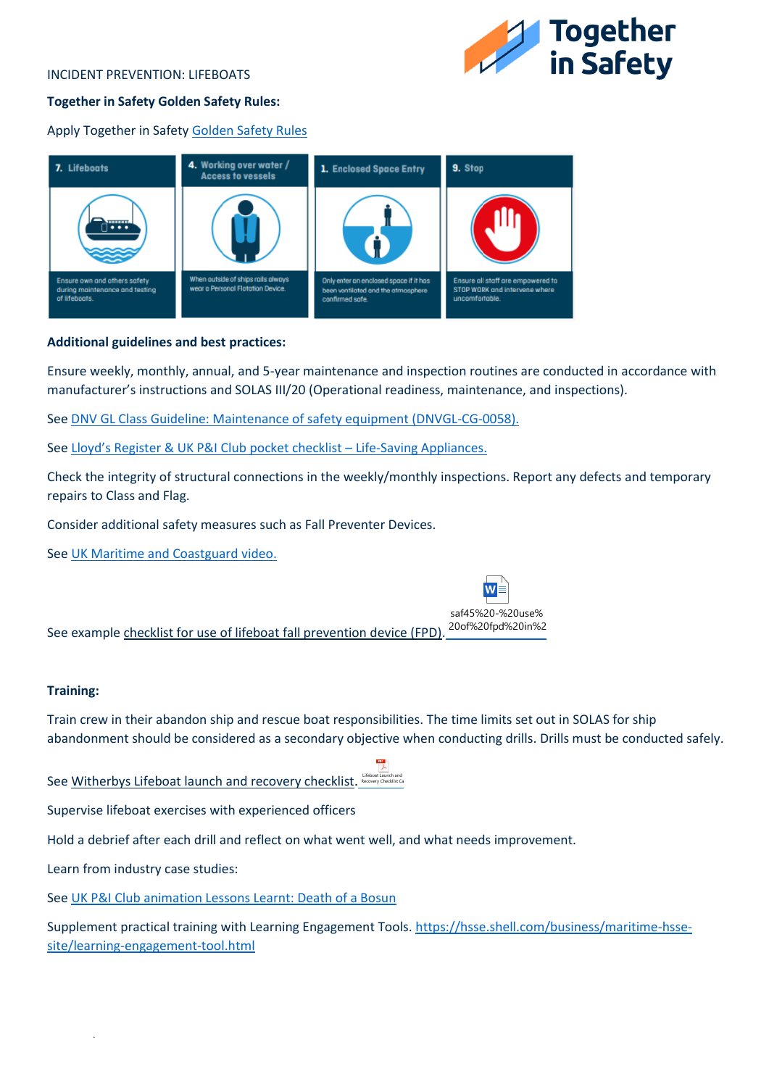#### INCIDENT PREVENTION: LIFEBOATS



## **Together in Safety Golden Safety Rules:**

Apply Together in Safet[y Golden Safety Rules](https://togetherinsafety.info/wp-content/uploads/2020/07/Golden-Safety-Rules.pdf)



## **Additional guidelines and best practices:**

Ensure weekly, monthly, annual, and 5-year maintenance and inspection routines are conducted in accordance with manufacturer's instructions and SOLAS III/20 (Operational readiness, maintenance, and inspections).

See [DNV GL Class Guideline: Maintenance of safety equipment \(DNVGL-CG-0058\).](https://rules.dnv.com/docs/pdf/DNV/CG/2021-05/DNV-CG-0058.pdf)

See [Lloyd's Register & UK P&I Club pocket checklist –](https://webstore.lr.org/life-saving-appliances-pocket-checklist-revision-3-pdf-download) Life-Saving Appliances.

Check the integrity of structural connections in the weekly/monthly inspections. Report any defects and temporary repairs to Class and Flag.

Consider additional safety measures such as Fall Preventer Devices.

See [UK Maritime and Coastguard video.](https://www.youtube.com/watch?v=tZrQDZcT7F4)

See example checklist for use of lifeboat fall prevention device (FPD). saf45%20-%20use% 20of%20fpd%20in%2

#### **Training:**

Train crew in their abandon ship and rescue boat responsibilities. The time limits set out in SOLAS for ship abandonment should be considered as a secondary objective when conducting drills. Drills must be conducted safely.

See Witherbys Lifeboat launch and recovery checklist. Lifeboat Launch and Recovery Checklist Ca

Supervise lifeboat exercises with experienced officers

Hold a debrief after each drill and reflect on what went well, and what needs improvement.

Learn from industry case studies:

.

See [UK P&I Club animation Lessons Learnt: Death of a Bosun](https://www.ukpandi.com/news-and-resources/videos/lessons-learnt-death-of-a-bosun/)

Supplement practical training with Learning Engagement Tools[. https://hsse.shell.com/business/maritime-hsse](https://hsse.shell.com/business/maritime-hsse-site/learning-engagement-tool.html)[site/learning-engagement-tool.html](https://hsse.shell.com/business/maritime-hsse-site/learning-engagement-tool.html)